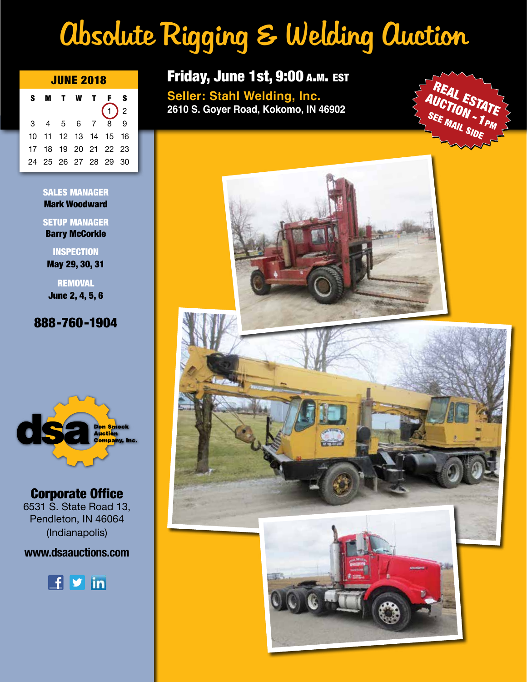# Absolute Rigging & Welding Auction

| <b>JUNE 2018</b> |  |           |  |  |                      |                                      |  |
|------------------|--|-----------|--|--|----------------------|--------------------------------------|--|
| S.               |  | MT W      |  |  | T F S                |                                      |  |
|                  |  |           |  |  | $\mathbf{1}$         | $\begin{array}{c}\n 2\n \end{array}$ |  |
|                  |  | 3 4 5 6 7 |  |  | 8                    | 9                                    |  |
|                  |  |           |  |  | 10 11 12 13 14 15 16 |                                      |  |
|                  |  |           |  |  | 17 18 19 20 21 22 23 |                                      |  |
|                  |  |           |  |  | 24 25 26 27 28 29 30 |                                      |  |

SALES MANAGER Mark Woodward

SETUP MANAGER

Barry McCorkle

**INSPECTION** May 29, 30, 31

**REMOVAL** June 2, 4, 5, 6

# 888-760-1904



Corporate Office 6531 S. State Road 13, Pendleton, IN 46064 (Indianapolis)

# **www.dsaauctions.com**



# Friday, June 1st, 9:00 A.M. EST

**Seller: Stahl Welding, Inc. 2610 S. Goyer Road, Kokomo, IN 46902**

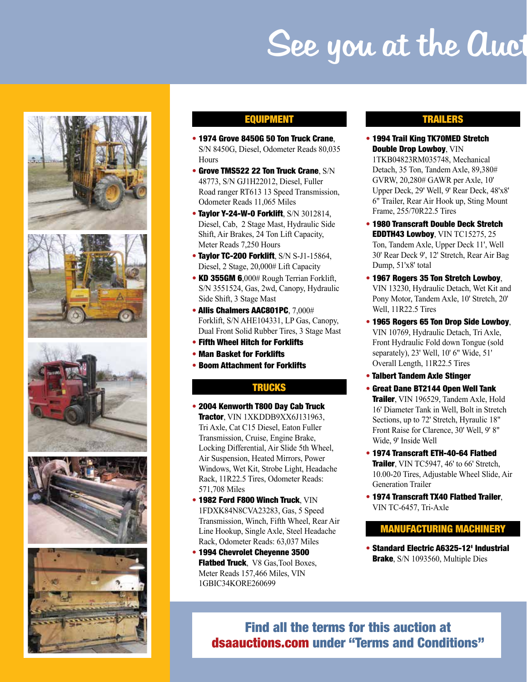# See you at the Auct











### EQUIPMENT

- 1974 Grove 8450G 50 Ton Truck Crane, S/N 8450G, Diesel, Odometer Reads 80,035 **Hours**
- Grove TMS522 22 Ton Truck Crane, S/N 48773, S/N GJ1H22012, Diesel, Fuller Road ranger RT613 13 Speed Transmission, Odometer Reads 11,065 Miles
- Taylor Y-24-W-0 Forklift, S/N 3012814, Diesel, Cab, 2 Stage Mast, Hydraulic Side Shift, Air Brakes, 24 Ton Lift Capacity, Meter Reads 7,250 Hours
- Taylor TC-200 Forklift, S/N S-J1-15864, Diesel, 2 Stage, 20,000# Lift Capacity
- KD 355GM 6,000# Rough Terrian Forklift, S/N 3551524, Gas, 2wd, Canopy, Hydraulic Side Shift, 3 Stage Mast
- Allis Chalmers AAC801PC, 7,000# Forklift, S/N AHE104331, LP Gas, Canopy, Dual Front Solid Rubber Tires, 3 Stage Mast
- Fifth Wheel Hitch for Forklifts
- Man Basket for Forklifts
- Boom Attachment for Forklifts

## **TRUCKS**

- 2004 Kenworth T800 Day Cab Truck Tractor, VIN 1XKDDB9XX6J131963, Tri Axle, Cat C15 Diesel, Eaton Fuller Transmission, Cruise, Engine Brake, Locking Differential, Air Slide 5th Wheel, Air Suspension, Heated Mirrors, Power Windows, Wet Kit, Strobe Light, Headache Rack, 11R22.5 Tires, Odometer Reads: 571,708 Miles
- 1982 Ford F800 Winch Truck, VIN 1FDXK84N8CVA23283, Gas, 5 Speed Transmission, Winch, Fifth Wheel, Rear Air Line Hookup, Single Axle, Steel Headache Rack, Odometer Reads: 63,037 Miles
- 1994 Chevrolet Cheyenne 3500 Flatbed Truck, V8 Gas, Tool Boxes, Meter Reads 157,466 Miles, VIN 1GBIC34KORE260699

### TRAILERS

• 1994 Trail King TK70MED Stretch Double Drop Lowboy, VIN

1TKB04823RM035748, Mechanical Detach, 35 Ton, Tandem Axle, 89,380# GVRW, 20,280# GAWR per Axle, 10' Upper Deck, 29' Well, 9' Rear Deck, 48'x8' 6" Trailer, Rear Air Hook up, Sting Mount Frame, 255/70R22.5 Tires

- 1980 Transcraft Double Deck Stretch EDDTH43 Lowboy, VIN TC15275, 25 Ton, Tandem Axle, Upper Deck 11', Well 30' Rear Deck 9', 12' Stretch, Rear Air Bag Dump, 51'x8' total
- 1967 Rogers 35 Ton Stretch Lowboy, VIN 13230, Hydraulic Detach, Wet Kit and Pony Motor, Tandem Axle, 10' Stretch, 20' Well, 11R22.5 Tires
- 1965 Rogers 65 Ton Drop Side Lowboy, VIN 10769, Hydraulic Detach, Tri Axle, Front Hydraulic Fold down Tongue (sold separately), 23' Well, 10' 6" Wide, 51' Overall Length, 11R22.5 Tires
- Talbert Tandem Axle Stinger
- Great Dane BT2144 Open Well Tank **Trailer**, VIN 196529, Tandem Axle, Hold 16' Diameter Tank in Well, Bolt in Stretch Sections, up to 72' Stretch, Hyraulic 18" Front Raise for Clarence, 30' Well, 9' 8" Wide, 9' Inside Well
- 1974 Transcraft ETH-40-64 Flatbed Trailer, VIN TC5947, 46' to 66' Stretch, 10.00-20 Tires, Adjustable Wheel Slide, Air Generation Trailer
- 1974 Transcraft TX40 Flatbed Trailer, VIN TC-6457, Tri-Axle

#### MANUFACTURING MACHINERY

• Standard Electric A6325-12' Industrial Brake, S/N 1093560, Multiple Dies

# Find all the terms for this auction at dsaauctions.com under "Terms and Conditions"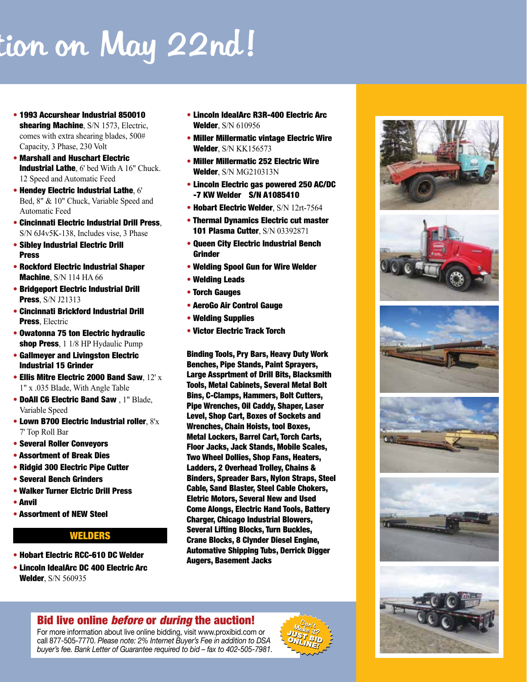# tion on May 22nd!

- 1993 Accurshear Industrial 850010 shearing Machine, S/N 1573, Electric, comes with extra shearing blades, 500# Capacity, 3 Phase, 230 Volt
- Marshall and Huschart Electric **Industrial Lathe**, 6' bed With A 16" Chuck. 12 Speed and Automatic Feed
- Hendey Electric Industrial Lathe, 6' Bed, 8" & 10" Chuck, Variable Speed and Automatic Feed
- Cincinnati Electric Industrial Drill Press, S/N 6J4v5K-138, Includes vise, 3 Phase
- Sibley Industrial Electric Drill Press
- Rockford Electric Industrial Shaper Machine, S/N 114 HA 66
- Bridgeport Electric Industrial Drill **Press**, S/N J21313
- Cincinnati Brickford Industrial Drill Press, Electric
- Owatonna 75 ton Electric hydraulic shop Press, 1 1/8 HP Hydaulic Pump
- Gallmeyer and Livingston Electric Industrial 15 Grinder
- Ellis Mitre Electric 2000 Band Saw,  $12^{\prime}$  x 1" x .035 Blade, With Angle Table
- DoAll C6 Electric Band Saw , 1" Blade, Variable Speed
- Lown B700 Electric Industrial roller, 8'x 7' Top Roll Bar
- Several Roller Conveyors
- Assortment of Break Dies
- Ridgid 300 Electric Pipe Cutter
- Several Bench Grinders
- Walker Turner Elctric Drill Press
- Anvil
- Assortment of NEW Steel

### WELDERS

- Hobart Electric RCC-610 DC Welder
- Lincoln IdealArc DC 400 Electric Arc **Welder, S/N 560935**
- Lincoln IdealArc R3R-400 Electric Arc Welder, S/N 610956
- Miller Millermatic vintage Electric Wire Welder, S/N KK156573
- Miller Millermatic 252 Electric Wire Welder, S/N MG210313N
- Lincoln Electric gas powered 250 AC/DC -7 KW Welder S/N A1085410
- Hobart Electric Welder, S/N 12rt-7564
- Thermal Dynamics Electric cut master 101 Plasma Cutter, S/N 03392871
- Queen City Electric Industrial Bench **Grinder**
- Welding Spool Gun for Wire Welder
- Welding Leads
- Torch Gauges
- AeroGo Air Control Gauge
- Welding Supplies
- Victor Electric Track Torch

Binding Tools, Pry Bars, Heavy Duty Work Benches, Pipe Stands, Paint Sprayers, Large Assprtment of Drill Bits, Blacksmith Tools, Metal Cabinets, Several Metal Bolt Bins, C-Clamps, Hammers, Bolt Cutters, Pipe Wrenches, Oil Caddy, Shaper, Laser Level, Shop Cart, Boxes of Sockets and Wrenches, Chain Hoists, tool Boxes, Metal Lockers, Barrel Cart, Torch Carts, Floor Jacks, Jack Stands, Mobile Scales, Two Wheel Dollies, Shop Fans, Heaters, Ladders, 2 Overhead Trolley, Chains & Binders, Spreader Bars, Nylon Straps, Steel Cable, Sand Blaster, Steel Cable Chokers, Eletric Motors, Several New and Used Come Alongs, Electric Hand Tools, Battery Charger, Chicago Industrial Blowers, Several Lifting Blocks, Turn Buckles, Crane Blocks, 8 Clynder Diesel Engine, Automative Shipping Tubs, Derrick Digger Augers, Basement Jacks



# Bid live online *before* or *during* the auction!

For more information about live online bidding, visit www.proxibid.com or call 877-505-7770. *Please note: 2% Internet Buyer's Fee in addition to DSA buyer's fee. Bank Letter of Guarantee required to bid – fax to 402-505-7981.*